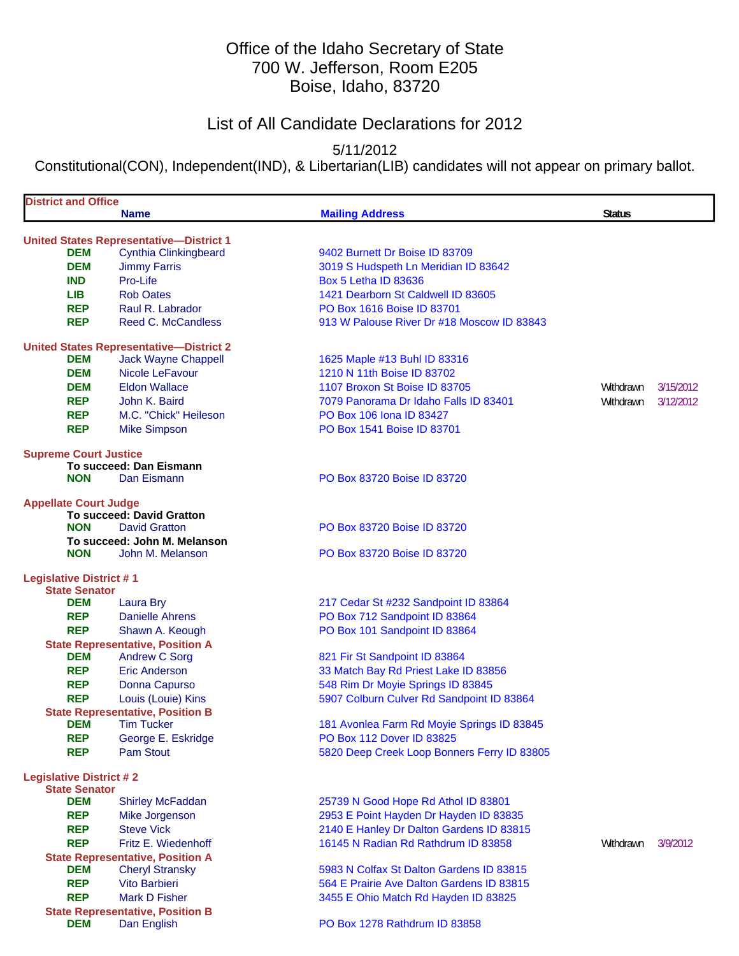# Office of the Idaho Secretary of State 700 W. Jefferson, Room E205 Boise, Idaho, 83720

# List of All Candidate Declarations for 2012

5/11/2012

Constitutional(CON), Independent(IND), & Libertarian(LIB) candidates will not appear on primary ballot.

| <b>District and Office</b>     |                                                                 |                                             |               |           |
|--------------------------------|-----------------------------------------------------------------|---------------------------------------------|---------------|-----------|
|                                | <b>Name</b>                                                     | <b>Mailing Address</b>                      | <b>Status</b> |           |
|                                | <b>United States Representative-District 1</b>                  |                                             |               |           |
| <b>DEM</b>                     | <b>Cynthia Clinkingbeard</b>                                    | 9402 Burnett Dr Boise ID 83709              |               |           |
| <b>DEM</b>                     | <b>Jimmy Farris</b>                                             | 3019 S Hudspeth Ln Meridian ID 83642        |               |           |
| <b>IND</b>                     | Pro-Life                                                        | <b>Box 5 Letha ID 83636</b>                 |               |           |
| LIB.                           | <b>Rob Oates</b>                                                | 1421 Dearborn St Caldwell ID 83605          |               |           |
| <b>REP</b>                     | Raul R. Labrador                                                | PO Box 1616 Boise ID 83701                  |               |           |
| <b>REP</b>                     | <b>Reed C. McCandless</b>                                       | 913 W Palouse River Dr #18 Moscow ID 83843  |               |           |
|                                | <b>United States Representative-District 2</b>                  |                                             |               |           |
| <b>DEM</b>                     | <b>Jack Wayne Chappell</b>                                      | 1625 Maple #13 Buhl ID 83316                |               |           |
| <b>DEM</b>                     | Nicole LeFavour                                                 | 1210 N 11th Boise ID 83702                  |               |           |
| <b>DEM</b>                     | <b>Eldon Wallace</b>                                            | 1107 Broxon St Boise ID 83705               | Withdrawn     | 3/15/2012 |
| <b>REP</b>                     | John K. Baird                                                   | 7079 Panorama Dr Idaho Falls ID 83401       | Withdrawn     | 3/12/2012 |
| <b>REP</b>                     | M.C. "Chick" Heileson                                           | PO Box 106 Iona ID 83427                    |               |           |
| <b>REP</b>                     | <b>Mike Simpson</b>                                             | PO Box 1541 Boise ID 83701                  |               |           |
| <b>Supreme Court Justice</b>   |                                                                 |                                             |               |           |
|                                | To succeed: Dan Eismann                                         |                                             |               |           |
| <b>NON</b>                     | Dan Eismann                                                     | PO Box 83720 Boise ID 83720                 |               |           |
| <b>Appellate Court Judge</b>   |                                                                 |                                             |               |           |
|                                | <b>To succeed: David Gratton</b>                                |                                             |               |           |
| <b>NON</b>                     | <b>David Gratton</b>                                            | PO Box 83720 Boise ID 83720                 |               |           |
|                                | To succeed: John M. Melanson                                    |                                             |               |           |
| <b>NON</b>                     | John M. Melanson                                                | PO Box 83720 Boise ID 83720                 |               |           |
| <b>Legislative District #1</b> |                                                                 |                                             |               |           |
| <b>State Senator</b>           |                                                                 |                                             |               |           |
| <b>DEM</b>                     | Laura Bry                                                       | 217 Cedar St #232 Sandpoint ID 83864        |               |           |
| <b>REP</b>                     | <b>Danielle Ahrens</b>                                          | PO Box 712 Sandpoint ID 83864               |               |           |
| <b>REP</b>                     | Shawn A. Keough                                                 | PO Box 101 Sandpoint ID 83864               |               |           |
| <b>DEM</b>                     | <b>State Representative, Position A</b><br><b>Andrew C Sorg</b> | 821 Fir St Sandpoint ID 83864               |               |           |
| <b>REP</b>                     | Eric Anderson                                                   | 33 Match Bay Rd Priest Lake ID 83856        |               |           |
| <b>REP</b>                     | Donna Capurso                                                   | 548 Rim Dr Moyie Springs ID 83845           |               |           |
| <b>REP</b>                     | Louis (Louie) Kins                                              | 5907 Colburn Culver Rd Sandpoint ID 83864   |               |           |
|                                | <b>State Representative, Position B</b>                         |                                             |               |           |
| <b>DEM</b>                     | <b>Tim Tucker</b>                                               | 181 Avonlea Farm Rd Moyie Springs ID 83845  |               |           |
| <b>REP</b>                     | George E. Eskridge                                              | PO Box 112 Dover ID 83825                   |               |           |
| <b>REP</b>                     | <b>Pam Stout</b>                                                | 5820 Deep Creek Loop Bonners Ferry ID 83805 |               |           |
| <b>Legislative District #2</b> |                                                                 |                                             |               |           |
| <b>State Senator</b>           |                                                                 |                                             |               |           |
| <b>DEM</b>                     | <b>Shirley McFaddan</b>                                         | 25739 N Good Hope Rd Athol ID 83801         |               |           |
| <b>REP</b>                     | Mike Jorgenson                                                  | 2953 E Point Hayden Dr Hayden ID 83835      |               |           |
| <b>REP</b>                     | <b>Steve Vick</b>                                               | 2140 E Hanley Dr Dalton Gardens ID 83815    |               |           |
| <b>REP</b>                     | Fritz E. Wiedenhoff                                             | 16145 N Radian Rd Rathdrum ID 83858         | Withdrawn     | 3/9/2012  |
|                                | <b>State Representative, Position A</b>                         |                                             |               |           |
| <b>DEM</b>                     | <b>Cheryl Stransky</b>                                          | 5983 N Colfax St Dalton Gardens ID 83815    |               |           |
| <b>REP</b>                     | Vito Barbieri                                                   | 564 E Prairie Ave Dalton Gardens ID 83815   |               |           |
| <b>REP</b>                     | <b>Mark D Fisher</b>                                            | 3455 E Ohio Match Rd Hayden ID 83825        |               |           |
|                                | <b>State Representative, Position B</b>                         |                                             |               |           |
| <b>DEM</b>                     | Dan English                                                     | PO Box 1278 Rathdrum ID 83858               |               |           |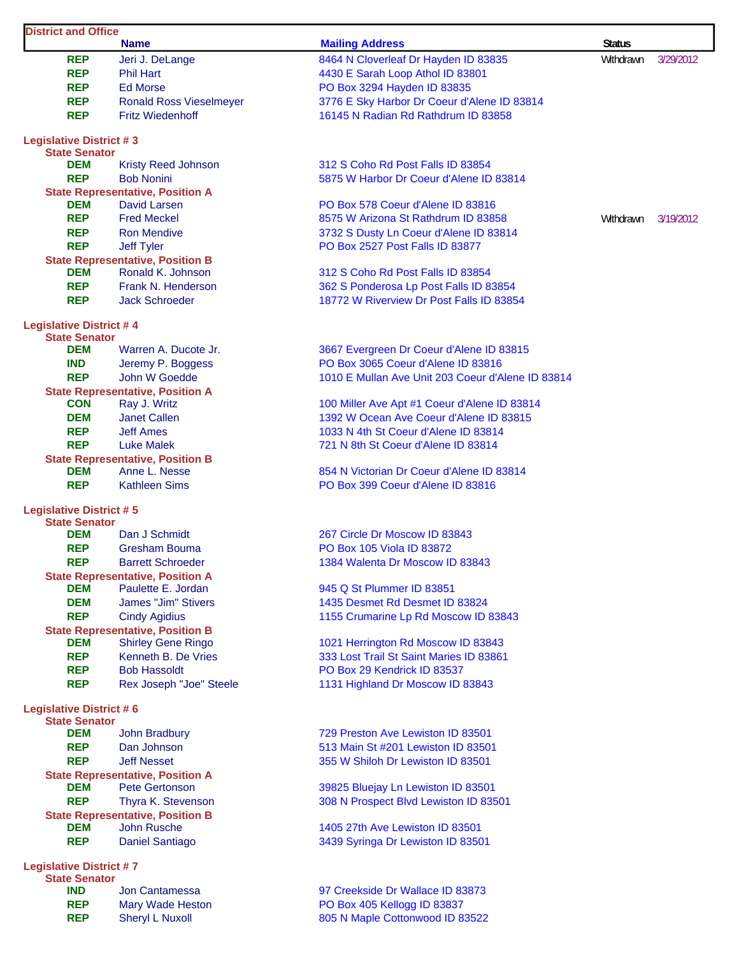| <b>District and Office</b>                             | <b>Name</b>                                                      | <b>Mailing Address</b>                                                      | <b>Status</b> |           |
|--------------------------------------------------------|------------------------------------------------------------------|-----------------------------------------------------------------------------|---------------|-----------|
| <b>REP</b>                                             | Jeri J. DeLange                                                  | 8464 N Cloverleaf Dr Hayden ID 83835                                        | Withdrawn     | 3/29/2012 |
| <b>REP</b>                                             | <b>Phil Hart</b>                                                 | 4430 E Sarah Loop Athol ID 83801                                            |               |           |
| <b>REP</b>                                             | <b>Ed Morse</b>                                                  |                                                                             |               |           |
|                                                        |                                                                  | PO Box 3294 Hayden ID 83835                                                 |               |           |
| <b>REP</b>                                             | <b>Ronald Ross Vieselmeyer</b>                                   | 3776 E Sky Harbor Dr Coeur d'Alene ID 83814                                 |               |           |
| <b>REP</b>                                             | <b>Fritz Wiedenhoff</b>                                          | 16145 N Radian Rd Rathdrum ID 83858                                         |               |           |
| <b>Legislative District #3</b><br><b>State Senator</b> |                                                                  |                                                                             |               |           |
| <b>DEM</b>                                             | <b>Kristy Reed Johnson</b>                                       | 312 S Coho Rd Post Falls ID 83854                                           |               |           |
| <b>REP</b>                                             | <b>Bob Nonini</b>                                                | 5875 W Harbor Dr Coeur d'Alene ID 83814                                     |               |           |
|                                                        | <b>State Representative, Position A</b>                          |                                                                             |               |           |
| DEM                                                    | David Larsen                                                     | PO Box 578 Coeur d'Alene ID 83816                                           |               |           |
| <b>REP</b>                                             | <b>Fred Meckel</b>                                               | 8575 W Arizona St Rathdrum ID 83858                                         | Withdrawn     | 3/19/2012 |
| <b>REP</b>                                             | <b>Ron Mendive</b>                                               | 3732 S Dusty Ln Coeur d'Alene ID 83814                                      |               |           |
| <b>REP</b>                                             | Jeff Tyler                                                       | PO Box 2527 Post Falls ID 83877                                             |               |           |
|                                                        | <b>State Representative, Position B</b>                          |                                                                             |               |           |
| DEM                                                    | Ronald K. Johnson                                                | 312 S Coho Rd Post Falls ID 83854                                           |               |           |
| <b>REP</b>                                             | Frank N. Henderson                                               | 362 S Ponderosa Lp Post Falls ID 83854                                      |               |           |
| <b>REP</b>                                             | <b>Jack Schroeder</b>                                            | 18772 W Riverview Dr Post Falls ID 83854                                    |               |           |
| <b>Legislative District #4</b>                         |                                                                  |                                                                             |               |           |
| <b>State Senator</b>                                   |                                                                  |                                                                             |               |           |
| <b>DEM</b>                                             | Warren A. Ducote Jr.                                             | 3667 Evergreen Dr Coeur d'Alene ID 83815                                    |               |           |
| <b>IND</b>                                             | Jeremy P. Boggess                                                | PO Box 3065 Coeur d'Alene ID 83816                                          |               |           |
| <b>REP</b>                                             | John W Goedde                                                    | 1010 E Mullan Ave Unit 203 Coeur d'Alene ID 83814                           |               |           |
|                                                        | <b>State Representative, Position A</b>                          |                                                                             |               |           |
| <b>CON</b>                                             | Ray J. Writz                                                     | 100 Miller Ave Apt #1 Coeur d'Alene ID 83814                                |               |           |
| <b>DEM</b>                                             | <b>Janet Callen</b>                                              | 1392 W Ocean Ave Coeur d'Alene ID 83815                                     |               |           |
| <b>REP</b>                                             | <b>Jeff Ames</b>                                                 | 1033 N 4th St Coeur d'Alene ID 83814                                        |               |           |
| <b>REP</b>                                             | <b>Luke Malek</b>                                                | 721 N 8th St Coeur d'Alene ID 83814                                         |               |           |
|                                                        | <b>State Representative, Position B</b>                          |                                                                             |               |           |
| <b>DEM</b>                                             | Anne L. Nesse                                                    | 854 N Victorian Dr Coeur d'Alene ID 83814                                   |               |           |
| <b>REP</b>                                             | <b>Kathleen Sims</b>                                             | PO Box 399 Coeur d'Alene ID 83816                                           |               |           |
| <b>Legislative District #5</b><br><b>State Senator</b> |                                                                  |                                                                             |               |           |
| <b>DEM</b>                                             | Dan J Schmidt                                                    | 267 Circle Dr Moscow ID 83843                                               |               |           |
| <b>REP</b>                                             | <b>Gresham Bouma</b>                                             | PO Box 105 Viola ID 83872                                                   |               |           |
| <b>REP</b>                                             | <b>Barrett Schroeder</b>                                         | 1384 Walenta Dr Moscow ID 83843                                             |               |           |
|                                                        | <b>State Representative, Position A</b>                          |                                                                             |               |           |
| <b>DEM</b>                                             | Paulette E. Jordan                                               | 945 Q St Plummer ID 83851                                                   |               |           |
| <b>DEM</b>                                             | James "Jim" Stivers                                              | 1435 Desmet Rd Desmet ID 83824                                              |               |           |
| <b>REP</b>                                             | <b>Cindy Agidius</b>                                             | 1155 Crumarine Lp Rd Moscow ID 83843                                        |               |           |
|                                                        | <b>State Representative, Position B</b>                          |                                                                             |               |           |
| <b>DEM</b>                                             | <b>Shirley Gene Ringo</b>                                        | 1021 Herrington Rd Moscow ID 83843                                          |               |           |
| <b>REP</b>                                             | Kenneth B. De Vries                                              | 333 Lost Trail St Saint Maries ID 83861                                     |               |           |
| <b>REP</b>                                             | <b>Bob Hassoldt</b>                                              | PO Box 29 Kendrick ID 83537                                                 |               |           |
| <b>REP</b>                                             | Rex Joseph "Joe" Steele                                          | 1131 Highland Dr Moscow ID 83843                                            |               |           |
| <b>Legislative District #6</b>                         |                                                                  |                                                                             |               |           |
| <b>State Senator</b>                                   |                                                                  |                                                                             |               |           |
| <b>DEM</b>                                             | John Bradbury                                                    | 729 Preston Ave Lewiston ID 83501                                           |               |           |
| <b>REP</b>                                             | Dan Johnson                                                      | 513 Main St #201 Lewiston ID 83501                                          |               |           |
| <b>REP</b>                                             | <b>Jeff Nesset</b>                                               | 355 W Shiloh Dr Lewiston ID 83501                                           |               |           |
| <b>DEM</b>                                             | <b>State Representative, Position A</b><br><b>Pete Gertonson</b> |                                                                             |               |           |
| <b>REP</b>                                             | Thyra K. Stevenson                                               | 39825 Bluejay Ln Lewiston ID 83501<br>308 N Prospect Blvd Lewiston ID 83501 |               |           |
|                                                        |                                                                  |                                                                             |               |           |
| <b>DEM</b>                                             | <b>State Representative, Position B</b><br>John Rusche           | 1405 27th Ave Lewiston ID 83501                                             |               |           |
| <b>REP</b>                                             | <b>Daniel Santiago</b>                                           | 3439 Syringa Dr Lewiston ID 83501                                           |               |           |
|                                                        |                                                                  |                                                                             |               |           |
| <b>Legislative District #7</b><br><b>State Senator</b> |                                                                  |                                                                             |               |           |
| <b>IND</b>                                             | Jon Cantamessa                                                   | 97 Creekside Dr Wallace ID 83873                                            |               |           |
| <b>REP</b>                                             | Mary Wade Heston                                                 | PO Box 405 Kellogg ID 83837                                                 |               |           |
| <b>REP</b>                                             | <b>Sheryl L Nuxoll</b>                                           | 805 N Maple Cottonwood ID 83522                                             |               |           |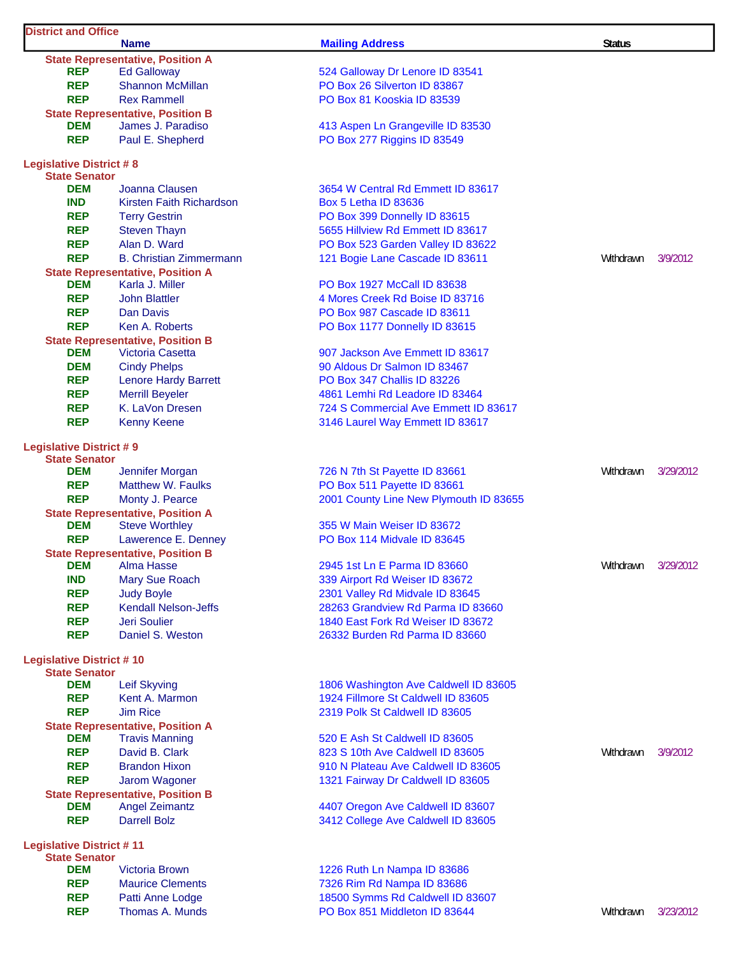| <b>District and Office</b>         |                                                                  |                                        |               |           |
|------------------------------------|------------------------------------------------------------------|----------------------------------------|---------------|-----------|
|                                    | <b>Name</b>                                                      | <b>Mailing Address</b>                 | <b>Status</b> |           |
|                                    | <b>State Representative, Position A</b>                          |                                        |               |           |
| <b>REP</b>                         | <b>Ed Galloway</b>                                               | 524 Galloway Dr Lenore ID 83541        |               |           |
| <b>REP</b>                         | <b>Shannon McMillan</b>                                          | PO Box 26 Silverton ID 83867           |               |           |
| <b>REP</b>                         | <b>Rex Rammell</b>                                               | PO Box 81 Kooskia ID 83539             |               |           |
|                                    | <b>State Representative, Position B</b>                          |                                        |               |           |
| DEM                                | James J. Paradiso                                                | 413 Aspen Ln Grangeville ID 83530      |               |           |
| <b>REP</b>                         | Paul E. Shepherd                                                 | PO Box 277 Riggins ID 83549            |               |           |
| <b>Legislative District #8</b>     |                                                                  |                                        |               |           |
| <b>State Senator</b>               |                                                                  |                                        |               |           |
| <b>DEM</b>                         | Joanna Clausen                                                   | 3654 W Central Rd Emmett ID 83617      |               |           |
| <b>IND</b>                         | Kirsten Faith Richardson                                         | Box 5 Letha ID 83636                   |               |           |
| <b>REP</b>                         | <b>Terry Gestrin</b>                                             | PO Box 399 Donnelly ID 83615           |               |           |
| <b>REP</b>                         | <b>Steven Thayn</b>                                              | 5655 Hillview Rd Emmett ID 83617       |               |           |
| <b>REP</b>                         | Alan D. Ward                                                     | PO Box 523 Garden Valley ID 83622      |               |           |
| <b>REP</b>                         | <b>B. Christian Zimmermann</b>                                   | 121 Bogie Lane Cascade ID 83611        | Withdrawn     | 3/9/2012  |
|                                    | <b>State Representative, Position A</b>                          |                                        |               |           |
| <b>DEM</b>                         | Karla J. Miller                                                  | PO Box 1927 McCall ID 83638            |               |           |
| <b>REP</b>                         | <b>John Blattler</b>                                             | 4 Mores Creek Rd Boise ID 83716        |               |           |
| <b>REP</b>                         | Dan Davis                                                        | PO Box 987 Cascade ID 83611            |               |           |
| <b>REP</b>                         | Ken A. Roberts                                                   | PO Box 1177 Donnelly ID 83615          |               |           |
|                                    | <b>State Representative, Position B</b>                          |                                        |               |           |
| <b>DEM</b>                         | Victoria Casetta                                                 | 907 Jackson Ave Emmett ID 83617        |               |           |
| <b>DEM</b>                         | <b>Cindy Phelps</b>                                              | 90 Aldous Dr Salmon ID 83467           |               |           |
| <b>REP</b>                         | <b>Lenore Hardy Barrett</b>                                      | PO Box 347 Challis ID 83226            |               |           |
| <b>REP</b>                         | <b>Merrill Beyeler</b>                                           | 4861 Lemhi Rd Leadore ID 83464         |               |           |
| <b>REP</b>                         | K. LaVon Dresen                                                  | 724 S Commercial Ave Emmett ID 83617   |               |           |
| <b>REP</b>                         | <b>Kenny Keene</b>                                               | 3146 Laurel Way Emmett ID 83617        |               |           |
|                                    |                                                                  |                                        |               |           |
| <b>Legislative District #9</b>     |                                                                  |                                        |               |           |
| <b>State Senator</b>               |                                                                  |                                        |               |           |
| DEM                                | Jennifer Morgan                                                  | 726 N 7th St Payette ID 83661          | Withdrawn     | 3/29/2012 |
| <b>REP</b>                         | <b>Matthew W. Faulks</b>                                         | PO Box 511 Payette ID 83661            |               |           |
| <b>REP</b>                         | Monty J. Pearce                                                  | 2001 County Line New Plymouth ID 83655 |               |           |
|                                    | <b>State Representative, Position A</b>                          |                                        |               |           |
| <b>DEM</b>                         | <b>Steve Worthley</b>                                            | 355 W Main Weiser ID 83672             |               |           |
| <b>REP</b>                         | Lawerence E. Denney                                              | PO Box 114 Midvale ID 83645            |               |           |
|                                    | <b>State Representative, Position B</b>                          |                                        |               |           |
| <b>DEM</b>                         | <b>Alma Hasse</b>                                                | 2945 1st Ln E Parma ID 83660           | Withdrawn     | 3/29/2012 |
| <b>IND</b>                         | <b>Mary Sue Roach</b>                                            | 339 Airport Rd Weiser ID 83672         |               |           |
| <b>REP</b>                         | <b>Judy Boyle</b>                                                | 2301 Valley Rd Midvale ID 83645        |               |           |
| <b>REP</b>                         | <b>Kendall Nelson-Jeffs</b>                                      | 28263 Grandview Rd Parma ID 83660      |               |           |
| <b>REP</b>                         | Jeri Soulier                                                     | 1840 East Fork Rd Weiser ID 83672      |               |           |
| <b>REP</b>                         | Daniel S. Weston                                                 | 26332 Burden Rd Parma ID 83660         |               |           |
|                                    |                                                                  |                                        |               |           |
| <b>Legislative District #10</b>    |                                                                  |                                        |               |           |
| <b>State Senator</b><br><b>DEM</b> | <b>Leif Skyving</b>                                              | 1806 Washington Ave Caldwell ID 83605  |               |           |
| <b>REP</b>                         | Kent A. Marmon                                                   | 1924 Fillmore St Caldwell ID 83605     |               |           |
| <b>REP</b>                         | <b>Jim Rice</b>                                                  | 2319 Polk St Caldwell ID 83605         |               |           |
|                                    |                                                                  |                                        |               |           |
| <b>DEM</b>                         | <b>State Representative, Position A</b><br><b>Travis Manning</b> | 520 E Ash St Caldwell ID 83605         |               |           |
| <b>REP</b>                         | David B. Clark                                                   | 823 S 10th Ave Caldwell ID 83605       | Withdrawn     | 3/9/2012  |
| <b>REP</b>                         | <b>Brandon Hixon</b>                                             | 910 N Plateau Ave Caldwell ID 83605    |               |           |
| <b>REP</b>                         | Jarom Wagoner                                                    |                                        |               |           |
|                                    | <b>State Representative, Position B</b>                          | 1321 Fairway Dr Caldwell ID 83605      |               |           |
| <b>DEM</b>                         | <b>Angel Zeimantz</b>                                            | 4407 Oregon Ave Caldwell ID 83607      |               |           |
| <b>REP</b>                         | <b>Darrell Bolz</b>                                              | 3412 College Ave Caldwell ID 83605     |               |           |
|                                    |                                                                  |                                        |               |           |
| <b>Legislative District #11</b>    |                                                                  |                                        |               |           |
| <b>State Senator</b>               |                                                                  |                                        |               |           |
| <b>DEM</b>                         | <b>Victoria Brown</b>                                            | 1226 Ruth Ln Nampa ID 83686            |               |           |
| <b>REP</b>                         | <b>Maurice Clements</b>                                          | 7326 Rim Rd Nampa ID 83686             |               |           |
| <b>REP</b>                         | Patti Anne Lodge                                                 | 18500 Symms Rd Caldwell ID 83607       |               |           |
| <b>REP</b>                         | Thomas A. Munds                                                  | PO Box 851 Middleton ID 83644          | Withdrawn     | 3/23/2012 |

٦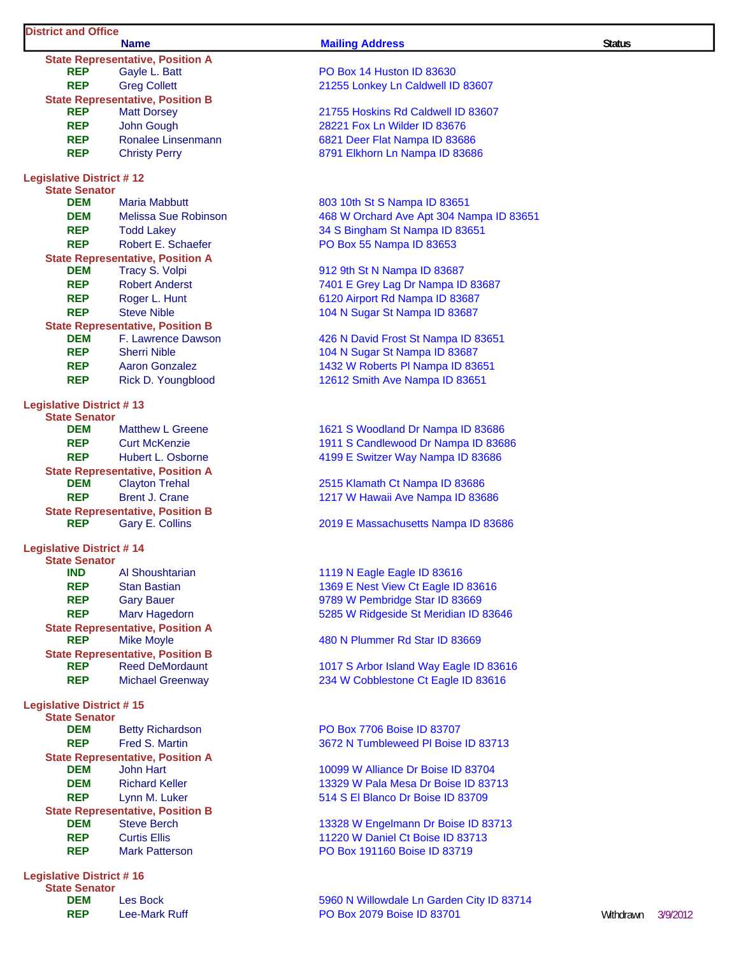### **District and Office**

|                                                         | <b>Name</b>                                                 | <b>Mailing Address</b>                   | <b>Status</b> |
|---------------------------------------------------------|-------------------------------------------------------------|------------------------------------------|---------------|
|                                                         | <b>State Representative, Position A</b>                     |                                          |               |
| <b>REP</b>                                              | Gayle L. Batt                                               | <b>PO Box 14 Huston ID 83630</b>         |               |
| <b>REP</b>                                              | <b>Greg Collett</b>                                         | 21255 Lonkey Ln Caldwell ID 83607        |               |
|                                                         | <b>State Representative, Position B</b>                     |                                          |               |
| <b>REP</b>                                              | <b>Matt Dorsey</b>                                          | 21755 Hoskins Rd Caldwell ID 83607       |               |
| <b>REP</b>                                              | John Gough                                                  | 28221 Fox Ln Wilder ID 83676             |               |
| <b>REP</b>                                              | Ronalee Linsenmann                                          | 6821 Deer Flat Nampa ID 83686            |               |
| <b>REP</b>                                              | <b>Christy Perry</b>                                        | 8791 Elkhorn Ln Nampa ID 83686           |               |
| <b>Legislative District #12</b><br><b>State Senator</b> |                                                             |                                          |               |
| <b>DEM</b>                                              | Maria Mabbutt                                               | 803 10th St S Nampa ID 83651             |               |
| <b>DEM</b>                                              | <b>Melissa Sue Robinson</b>                                 | 468 W Orchard Ave Apt 304 Nampa ID 83651 |               |
| <b>REP</b>                                              | <b>Todd Lakey</b>                                           | 34 S Bingham St Nampa ID 83651           |               |
| <b>REP</b>                                              | Robert E. Schaefer                                          | PO Box 55 Nampa ID 83653                 |               |
|                                                         | <b>State Representative, Position A</b>                     |                                          |               |
| <b>DEM</b>                                              | Tracy S. Volpi                                              | 912 9th St N Nampa ID 83687              |               |
| <b>REP</b>                                              | <b>Robert Anderst</b>                                       | 7401 E Grey Lag Dr Nampa ID 83687        |               |
| <b>REP</b>                                              | Roger L. Hunt                                               | 6120 Airport Rd Nampa ID 83687           |               |
| <b>REP</b>                                              | <b>Steve Nible</b>                                          | 104 N Sugar St Nampa ID 83687            |               |
|                                                         | <b>State Representative, Position B</b>                     |                                          |               |
| <b>DEM</b>                                              | F. Lawrence Dawson                                          | 426 N David Frost St Nampa ID 83651      |               |
| <b>REP</b>                                              | <b>Sherri Nible</b>                                         | 104 N Sugar St Nampa ID 83687            |               |
| <b>REP</b>                                              | <b>Aaron Gonzalez</b>                                       | 1432 W Roberts PI Nampa ID 83651         |               |
| <b>REP</b>                                              | Rick D. Youngblood                                          | 12612 Smith Ave Nampa ID 83651           |               |
|                                                         |                                                             |                                          |               |
| <b>Legislative District #13</b><br><b>State Senator</b> |                                                             |                                          |               |
| <b>DEM</b>                                              | <b>Matthew L Greene</b>                                     | 1621 S Woodland Dr Nampa ID 83686        |               |
| <b>REP</b>                                              | <b>Curt McKenzie</b>                                        | 1911 S Candlewood Dr Nampa ID 83686      |               |
| <b>REP</b>                                              | Hubert L. Osborne                                           | 4199 E Switzer Way Nampa ID 83686        |               |
|                                                         | <b>State Representative, Position A</b>                     |                                          |               |
| <b>DEM</b>                                              | <b>Clayton Trehal</b>                                       | 2515 Klamath Ct Nampa ID 83686           |               |
| <b>REP</b>                                              | <b>Brent J. Crane</b>                                       | 1217 W Hawaii Ave Nampa ID 83686         |               |
|                                                         | <b>State Representative, Position B</b>                     |                                          |               |
| <b>REP</b>                                              | Gary E. Collins                                             | 2019 E Massachusetts Nampa ID 83686      |               |
| <b>Legislative District #14</b><br><b>State Senator</b> |                                                             |                                          |               |
| <b>IND</b>                                              | Al Shoushtarian                                             | 1119 N Eagle Eagle ID 83616              |               |
| <b>REP</b>                                              | <b>Stan Bastian</b>                                         | 1369 E Nest View Ct Eagle ID 83616       |               |
| <b>REP</b>                                              | <b>Gary Bauer</b>                                           | 9789 W Pembridge Star ID 83669           |               |
| <b>REP</b>                                              | Marv Hagedorn                                               | 5285 W Ridgeside St Meridian ID 83646    |               |
|                                                         | <b>State Representative, Position A</b>                     |                                          |               |
| <b>REP</b>                                              | <b>Mike Moyle</b>                                           | 480 N Plummer Rd Star ID 83669           |               |
|                                                         | <b>State Representative, Position B</b>                     |                                          |               |
| <b>REP</b>                                              | <b>Reed DeMordaunt</b>                                      | 1017 S Arbor Island Way Eagle ID 83616   |               |
| <b>REP</b>                                              | <b>Michael Greenway</b>                                     | 234 W Cobblestone Ct Eagle ID 83616      |               |
| <b>Legislative District #15</b>                         |                                                             |                                          |               |
| <b>State Senator</b>                                    |                                                             |                                          |               |
| <b>DEM</b>                                              | <b>Betty Richardson</b>                                     | PO Box 7706 Boise ID 83707               |               |
| <b>REP</b>                                              | Fred S. Martin                                              | 3672 N Tumbleweed PI Boise ID 83713      |               |
| <b>DEM</b>                                              | <b>State Representative, Position A</b><br><b>John Hart</b> | 10099 W Alliance Dr Boise ID 83704       |               |
| <b>DEM</b>                                              | <b>Richard Keller</b>                                       | 13329 W Pala Mesa Dr Boise ID 83713      |               |
| <b>REP</b>                                              | Lynn M. Luker                                               | 514 S El Blanco Dr Boise ID 83709        |               |
|                                                         | <b>State Representative, Position B</b>                     |                                          |               |
| <b>DEM</b>                                              | <b>Steve Berch</b>                                          | 13328 W Engelmann Dr Boise ID 83713      |               |
| <b>REP</b>                                              | <b>Curtis Ellis</b>                                         | 11220 W Daniel Ct Boise ID 83713         |               |
| <b>REP</b>                                              | <b>Mark Patterson</b>                                       | PO Box 191160 Boise ID 83719             |               |
|                                                         |                                                             |                                          |               |
| <b>Lagislative District # 16</b>                        |                                                             |                                          |               |

| <b>Legislative District #16</b> |                    |  |
|---------------------------------|--------------------|--|
| <b>State Senator</b>            |                    |  |
| <b>DEM</b>                      | Les Bock           |  |
| <b>RFP</b>                      | <u>Lee-Mark Ru</u> |  |

5960 N Willowdale Ln Garden City ID 83714 **REPPO Box 2079 Boise ID 83701** Mithdrawn 3/9/2012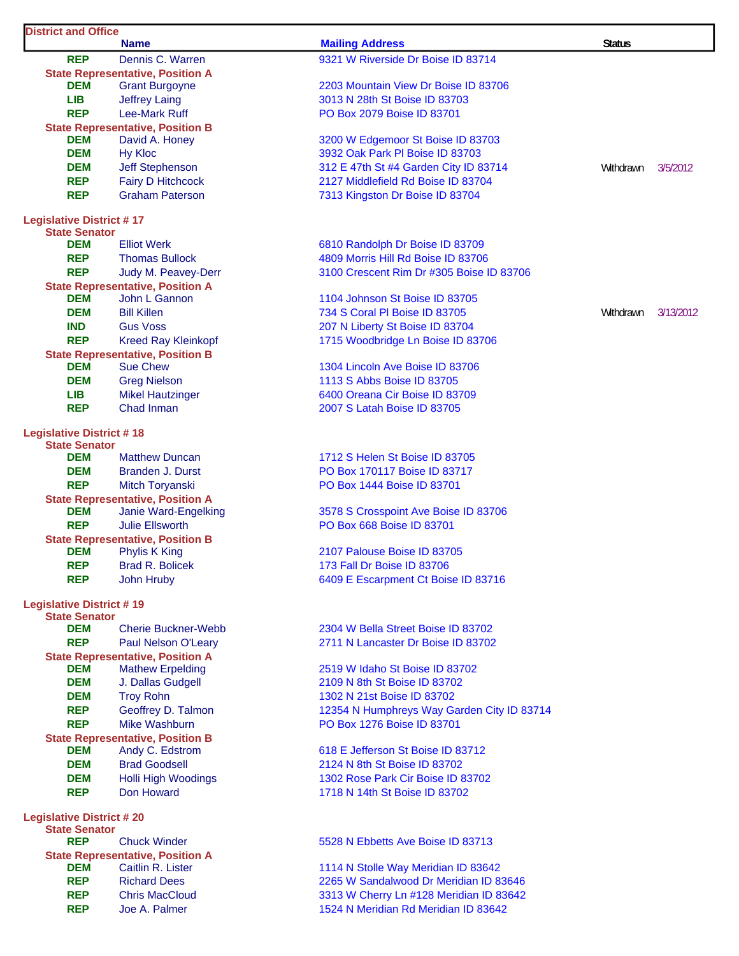| <b>District and Office</b>                              | <b>Name</b>                                                           | <b>Mailing Address</b>                     | <b>Status</b> |           |
|---------------------------------------------------------|-----------------------------------------------------------------------|--------------------------------------------|---------------|-----------|
| <b>REP</b>                                              | Dennis C. Warren                                                      | 9321 W Riverside Dr Boise ID 83714         |               |           |
|                                                         | <b>State Representative, Position A</b>                               |                                            |               |           |
| <b>DEM</b>                                              | <b>Grant Burgoyne</b>                                                 | 2203 Mountain View Dr Boise ID 83706       |               |           |
| <b>LIB</b>                                              | <b>Jeffrey Laing</b>                                                  | 3013 N 28th St Boise ID 83703              |               |           |
| <b>REP</b>                                              | <b>Lee-Mark Ruff</b>                                                  | PO Box 2079 Boise ID 83701                 |               |           |
|                                                         | <b>State Representative, Position B</b>                               |                                            |               |           |
| <b>DEM</b>                                              | David A. Honey                                                        | 3200 W Edgemoor St Boise ID 83703          |               |           |
| <b>DEM</b>                                              | <b>Hy Kloc</b>                                                        | 3932 Oak Park PI Boise ID 83703            |               |           |
| <b>DEM</b>                                              | Jeff Stephenson                                                       | 312 E 47th St #4 Garden City ID 83714      | Withdrawn     | 3/5/2012  |
| <b>REP</b>                                              | <b>Fairy D Hitchcock</b>                                              | 2127 Middlefield Rd Boise ID 83704         |               |           |
| <b>REP</b>                                              | <b>Graham Paterson</b>                                                | 7313 Kingston Dr Boise ID 83704            |               |           |
| <b>Legislative District #17</b>                         |                                                                       |                                            |               |           |
| <b>State Senator</b>                                    |                                                                       |                                            |               |           |
| <b>DEM</b>                                              | <b>Elliot Werk</b>                                                    | 6810 Randolph Dr Boise ID 83709            |               |           |
| <b>REP</b>                                              | <b>Thomas Bullock</b>                                                 | 4809 Morris Hill Rd Boise ID 83706         |               |           |
| <b>REP</b>                                              | Judy M. Peavey-Derr                                                   | 3100 Crescent Rim Dr #305 Boise ID 83706   |               |           |
| <b>DEM</b>                                              | <b>State Representative, Position A</b><br>John L Gannon              | 1104 Johnson St Boise ID 83705             |               |           |
| <b>DEM</b>                                              | <b>Bill Killen</b>                                                    |                                            |               |           |
| <b>IND</b>                                              | <b>Gus Voss</b>                                                       | 734 S Coral PI Boise ID 83705              | Withdrawn     | 3/13/2012 |
| <b>REP</b>                                              |                                                                       | 207 N Liberty St Boise ID 83704            |               |           |
|                                                         | <b>Kreed Ray Kleinkopf</b><br><b>State Representative, Position B</b> | 1715 Woodbridge Ln Boise ID 83706          |               |           |
| <b>DEM</b>                                              | <b>Sue Chew</b>                                                       | 1304 Lincoln Ave Boise ID 83706            |               |           |
| <b>DEM</b>                                              | <b>Greg Nielson</b>                                                   | 1113 S Abbs Boise ID 83705                 |               |           |
| <b>LIB</b>                                              | <b>Mikel Hautzinger</b>                                               | 6400 Oreana Cir Boise ID 83709             |               |           |
| <b>REP</b>                                              | Chad Inman                                                            | 2007 S Latah Boise ID 83705                |               |           |
|                                                         |                                                                       |                                            |               |           |
| <b>Legislative District #18</b><br><b>State Senator</b> |                                                                       |                                            |               |           |
| <b>DEM</b>                                              | <b>Matthew Duncan</b>                                                 | 1712 S Helen St Boise ID 83705             |               |           |
| <b>DEM</b>                                              | Branden J. Durst                                                      | PO Box 170117 Boise ID 83717               |               |           |
| <b>REP</b>                                              | Mitch Toryanski                                                       | PO Box 1444 Boise ID 83701                 |               |           |
|                                                         | <b>State Representative, Position A</b>                               |                                            |               |           |
| <b>DEM</b>                                              | Janie Ward-Engelking                                                  | 3578 S Crosspoint Ave Boise ID 83706       |               |           |
| <b>REP</b>                                              | <b>Julie Ellsworth</b>                                                | PO Box 668 Boise ID 83701                  |               |           |
|                                                         | <b>State Representative, Position B</b>                               |                                            |               |           |
| <b>DEM</b>                                              | <b>Phylis K King</b>                                                  | 2107 Palouse Boise ID 83705                |               |           |
| <b>REP</b>                                              | <b>Brad R. Bolicek</b>                                                | 173 Fall Dr Boise ID 83706                 |               |           |
| <b>REP</b>                                              | John Hruby                                                            | 6409 E Escarpment Ct Boise ID 83716        |               |           |
| <b>Legislative District #19</b>                         |                                                                       |                                            |               |           |
| <b>State Senator</b><br><b>DEM</b>                      | <b>Cherie Buckner-Webb</b>                                            | 2304 W Bella Street Boise ID 83702         |               |           |
| <b>REP</b>                                              |                                                                       |                                            |               |           |
|                                                         | Paul Nelson O'Leary<br><b>State Representative, Position A</b>        | 2711 N Lancaster Dr Boise ID 83702         |               |           |
| <b>DEM</b>                                              | <b>Mathew Erpelding</b>                                               | 2519 W Idaho St Boise ID 83702             |               |           |
| <b>DEM</b>                                              | J. Dallas Gudgell                                                     | 2109 N 8th St Boise ID 83702               |               |           |
| <b>DEM</b>                                              | <b>Troy Rohn</b>                                                      | 1302 N 21st Boise ID 83702                 |               |           |
| <b>REP</b>                                              | Geoffrey D. Talmon                                                    | 12354 N Humphreys Way Garden City ID 83714 |               |           |
| <b>REP</b>                                              | <b>Mike Washburn</b>                                                  | PO Box 1276 Boise ID 83701                 |               |           |
|                                                         | <b>State Representative, Position B</b>                               |                                            |               |           |
| <b>DEM</b>                                              | Andy C. Edstrom                                                       | 618 E Jefferson St Boise ID 83712          |               |           |
| <b>DEM</b>                                              | <b>Brad Goodsell</b>                                                  | 2124 N 8th St Boise ID 83702               |               |           |
| <b>DEM</b>                                              | <b>Holli High Woodings</b>                                            | 1302 Rose Park Cir Boise ID 83702          |               |           |
| <b>REP</b>                                              | Don Howard                                                            | 1718 N 14th St Boise ID 83702              |               |           |
| <b>Legislative District #20</b>                         |                                                                       |                                            |               |           |
| <b>State Senator</b><br><b>REP</b>                      | <b>Chuck Winder</b>                                                   | 5528 N Ebbetts Ave Boise ID 83713          |               |           |
|                                                         | <b>State Representative, Position A</b>                               |                                            |               |           |
| <b>DEM</b>                                              | Caitlin R. Lister                                                     | 1114 N Stolle Way Meridian ID 83642        |               |           |
| <b>REP</b>                                              | <b>Richard Dees</b>                                                   | 2265 W Sandalwood Dr Meridian ID 83646     |               |           |
| <b>REP</b>                                              | <b>Chris MacCloud</b>                                                 | 3313 W Cherry Ln #128 Meridian ID 83642    |               |           |
| <b>REP</b>                                              | Joe A. Palmer                                                         | 1524 N Meridian Rd Meridian ID 83642       |               |           |
|                                                         |                                                                       |                                            |               |           |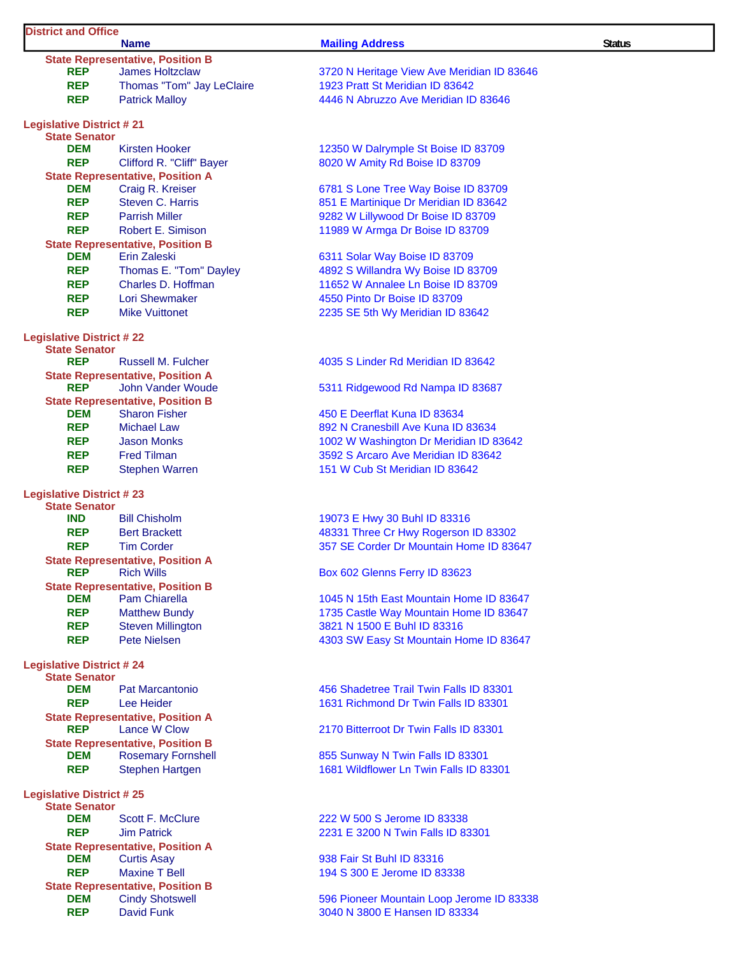### **District and Office**

**Name** Status **Mailing Address Mailing Address Status** Status **State Representative, Position B<br>REP** James Holtzclaw James Holtzclaw 3720 N Heritage View Ave Meridian ID 83646 **REP** Thomas "Tom" Jay LeClaire 1923 Pratt St Meridian ID 83642 **REP** Patrick Malloy **1988 120 March 2012 14446 N** Abruzzo Ave Meridian ID 83646 **Legislative District # 21 State Senator DEM** Kirsten Hooker 12350 W Dalrymple St Boise ID 83709 **REP** Clifford R. "Cliff" Bayer 8020 W Amity Rd Boise ID 83709 **State Representative, Position A DEM** Craig R. Kreiser **6781 S Lone Tree Way Boise ID 83709 REP** Steven C. Harris 851 E Martinique Dr Meridian ID 83642 **REP** Parrish Miller **Property Allemanue Constructs** 9282 W Lillywood Dr Boise ID 83709 **REP** Robert E. Simison **11989 W Armga Dr Boise ID 83709 State Representative, Position B DEM** Erin Zaleski 6311 Solar Way Boise ID 83709 **REP** Thomas E. "Tom" Dayley 4892 S Willandra Wy Boise ID 83709 **REP** Charles D. Hoffman 11652 W Annalee Ln Boise ID 83709 **REP** Lori Shewmaker **1996 120 120 130 14550 Pinto Dr Boise ID 83709 REP** Mike Vuittonet 2235 SE 5th Wy Meridian ID 83642 **Legislative District # 22 State Senator REP** Russell M. Fulcher **All Accord ACCO 4035 S** Linder Rd Meridian ID 83642 **State Representative, Position A**<br>**REP** John Vander Woude **State Representative, Position B DEM** Sharon Fisher **19th** 450 E Deerflat Kuna ID 83634 **REP** Michael Law 892 N Cranesbill Ave Kuna ID 83634 **REP** Jason Monks 1002 W Washington Dr Meridian ID 83642 **REP** Fred Tilman **1988 Fred Tilman** 3592 S Arcaro Ave Meridian ID 83642 **REP** Stephen Warren 151 W Cub St Meridian ID 83642 **Legislative District # 23 State Senator IND** Bill Chisholm 19073 E Hwy 30 Buhl ID 83316 **REP** Bert Brackett **Brackett** 48331 Three Cr Hwy Rogerson ID 83302 **REP** Tim Corder **1988** Tim Corder **357 SE Corder Dr Mountain Home ID 83647 State Representative, Position A REP** Rich Wills **REP** Rich Wills **Box 602 Glenns Ferry ID 83623 State Representative, Position B**<br>**DEM** Pam Chiarella **DEM** Pam Chiarella **1045 N** 15th East Mountain Home ID 83647 **REP** Matthew Bundy 1735 Castle Way Mountain Home ID 83647 **REP** Steven Millington 3821 N 1500 E Buhl ID 83316 **REP** Pete Nielsen **1203** Pete Nielsen **1303 SW Easy St Mountain Home ID 83647 Legislative District # 24 State Senator DEM** Pat Marcantonio 456 Shadetree Trail Twin Falls ID 83301 **REP** Lee Heider 1631 Richmond Dr Twin Falls ID 83301 **State Representative, Position A REP** Lance W Clow 2170 Bitterroot Dr Twin Falls ID 83301 **State Representative, Position B DEM** Rosemary Fornshell 855 Sunway N Twin Falls ID 83301 **REP** Stephen Hartgen 1681 Wildflower Ln Twin Falls ID 83301 **Legislative District # 25 State Senator DEM** Scott F. McClure 222 W 500 S Jerome ID 83338 **REP** Jim Patrick 2231 E 3200 N Twin Falls ID 83301 **State Representative, Position A DEM** Curtis Asay **1948** Curtis Asay **1938** Fair St Buhl ID 83316 **REP** Maxine T Bell 194 S 300 E Jerome ID 83338 **State Representative, Position B DEM** Cindy Shotswell 596 Pioneer Mountain Loop Jerome ID 83338

5311 Ridgewood Rd Nampa ID 83687

**REP** David Funk **1988 120 CM** 3040 N 3800 E Hansen ID 83334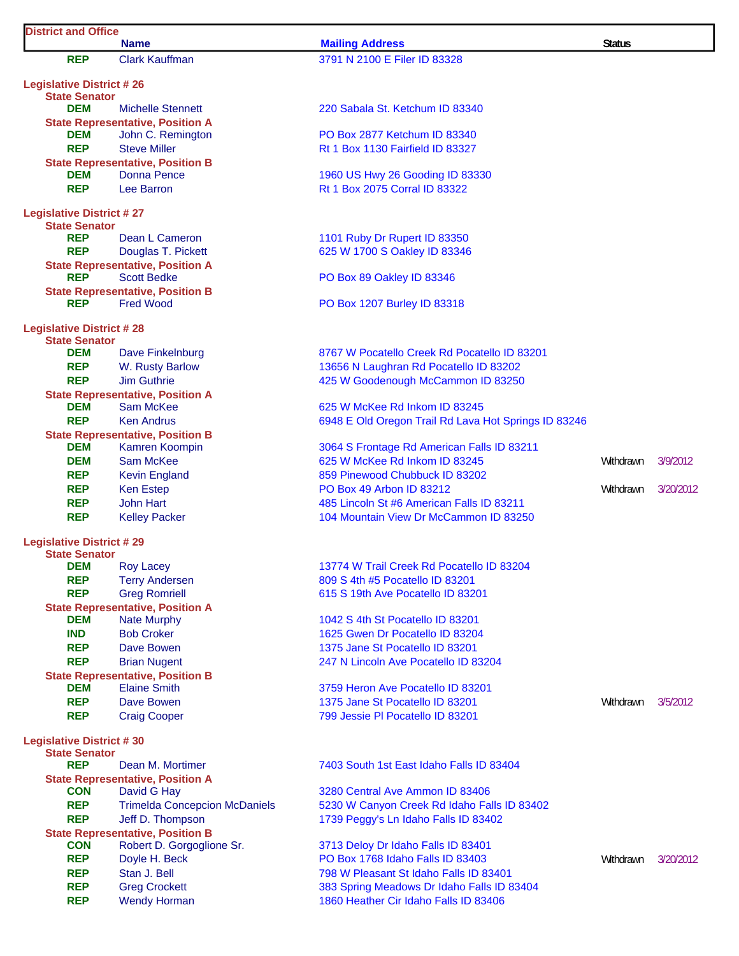| <b>District and Office</b>                              | <b>Name</b>                                                   |                                                                 |               |           |
|---------------------------------------------------------|---------------------------------------------------------------|-----------------------------------------------------------------|---------------|-----------|
|                                                         |                                                               | <b>Mailing Address</b>                                          | <b>Status</b> |           |
| <b>REP</b>                                              | <b>Clark Kauffman</b>                                         | 3791 N 2100 E Filer ID 83328                                    |               |           |
| <b>Legislative District #26</b><br><b>State Senator</b> |                                                               |                                                                 |               |           |
| <b>DEM</b>                                              | <b>Michelle Stennett</b>                                      | 220 Sabala St. Ketchum ID 83340                                 |               |           |
|                                                         | <b>State Representative, Position A</b>                       |                                                                 |               |           |
| DEM                                                     | John C. Remington                                             | PO Box 2877 Ketchum ID 83340                                    |               |           |
| <b>REP</b>                                              | <b>Steve Miller</b>                                           | Rt 1 Box 1130 Fairfield ID 83327                                |               |           |
|                                                         | <b>State Representative, Position B</b>                       |                                                                 |               |           |
| <b>DEM</b>                                              | <b>Donna Pence</b>                                            | 1960 US Hwy 26 Gooding ID 83330                                 |               |           |
| <b>REP</b>                                              | Lee Barron                                                    | Rt 1 Box 2075 Corral ID 83322                                   |               |           |
| <b>Legislative District #27</b>                         |                                                               |                                                                 |               |           |
| <b>State Senator</b>                                    |                                                               |                                                                 |               |           |
| <b>REP</b>                                              | Dean L Cameron                                                | 1101 Ruby Dr Rupert ID 83350                                    |               |           |
| <b>REP</b>                                              | Douglas T. Pickett                                            | 625 W 1700 S Oakley ID 83346                                    |               |           |
| <b>REP</b>                                              | <b>State Representative, Position A</b><br><b>Scott Bedke</b> | PO Box 89 Oakley ID 83346                                       |               |           |
|                                                         | <b>State Representative, Position B</b>                       |                                                                 |               |           |
| <b>REP</b>                                              | <b>Fred Wood</b>                                              | PO Box 1207 Burley ID 83318                                     |               |           |
|                                                         |                                                               |                                                                 |               |           |
| <b>Legislative District #28</b><br><b>State Senator</b> |                                                               |                                                                 |               |           |
| <b>DEM</b>                                              | Dave Finkelnburg                                              | 8767 W Pocatello Creek Rd Pocatello ID 83201                    |               |           |
| <b>REP</b>                                              | W. Rusty Barlow                                               | 13656 N Laughran Rd Pocatello ID 83202                          |               |           |
| <b>REP</b>                                              | <b>Jim Guthrie</b>                                            | 425 W Goodenough McCammon ID 83250                              |               |           |
|                                                         | <b>State Representative, Position A</b>                       |                                                                 |               |           |
| <b>DEM</b>                                              | Sam McKee                                                     | 625 W McKee Rd Inkom ID 83245                                   |               |           |
| <b>REP</b>                                              | <b>Ken Andrus</b>                                             | 6948 E Old Oregon Trail Rd Lava Hot Springs ID 83246            |               |           |
|                                                         | <b>State Representative, Position B</b>                       |                                                                 |               |           |
| <b>DEM</b>                                              | Kamren Koompin                                                | 3064 S Frontage Rd American Falls ID 83211                      |               |           |
| <b>DEM</b>                                              | Sam McKee                                                     | 625 W McKee Rd Inkom ID 83245<br>859 Pinewood Chubbuck ID 83202 | Withdrawn     | 3/9/2012  |
| <b>REP</b><br><b>REP</b>                                | <b>Kevin England</b>                                          | PO Box 49 Arbon ID 83212                                        | Withdrawn     | 3/20/2012 |
| <b>REP</b>                                              | <b>Ken Estep</b><br><b>John Hart</b>                          | 485 Lincoln St #6 American Falls ID 83211                       |               |           |
| <b>REP</b>                                              | <b>Kelley Packer</b>                                          | 104 Mountain View Dr McCammon ID 83250                          |               |           |
|                                                         |                                                               |                                                                 |               |           |
| <b>Legislative District #29</b><br><b>State Senator</b> |                                                               |                                                                 |               |           |
| <b>DEM</b>                                              | <b>Roy Lacey</b>                                              | 13774 W Trail Creek Rd Pocatello ID 83204                       |               |           |
| <b>REP</b>                                              | <b>Terry Andersen</b>                                         | 809 S 4th #5 Pocatello ID 83201                                 |               |           |
| <b>REP</b>                                              | <b>Greg Romriell</b>                                          | 615 S 19th Ave Pocatello ID 83201                               |               |           |
|                                                         | <b>State Representative, Position A</b>                       |                                                                 |               |           |
| <b>DEM</b>                                              | <b>Nate Murphy</b>                                            | 1042 S 4th St Pocatello ID 83201                                |               |           |
| <b>IND</b>                                              | <b>Bob Croker</b>                                             | 1625 Gwen Dr Pocatello ID 83204                                 |               |           |
| <b>REP</b>                                              | Dave Bowen                                                    | 1375 Jane St Pocatello ID 83201                                 |               |           |
| <b>REP</b>                                              | <b>Brian Nugent</b>                                           | 247 N Lincoln Ave Pocatello ID 83204                            |               |           |
|                                                         | <b>State Representative, Position B</b>                       |                                                                 |               |           |
| <b>DEM</b>                                              | <b>Elaine Smith</b>                                           | 3759 Heron Ave Pocatello ID 83201                               |               |           |
| <b>REP</b>                                              | Dave Bowen                                                    | 1375 Jane St Pocatello ID 83201                                 | Withdrawn     | 3/5/2012  |
| <b>REP</b>                                              | <b>Craig Cooper</b>                                           | 799 Jessie PI Pocatello ID 83201                                |               |           |
| <b>Legislative District #30</b>                         |                                                               |                                                                 |               |           |
| <b>State Senator</b>                                    |                                                               |                                                                 |               |           |
| <b>REP</b>                                              | Dean M. Mortimer<br><b>State Representative, Position A</b>   | 7403 South 1st East Idaho Falls ID 83404                        |               |           |
| <b>CON</b>                                              | David G Hay                                                   | 3280 Central Ave Ammon ID 83406                                 |               |           |
| <b>REP</b>                                              | <b>Trimelda Concepcion McDaniels</b>                          | 5230 W Canyon Creek Rd Idaho Falls ID 83402                     |               |           |
| <b>REP</b>                                              | Jeff D. Thompson                                              | 1739 Peggy's Ln Idaho Falls ID 83402                            |               |           |
|                                                         | <b>State Representative, Position B</b>                       |                                                                 |               |           |
| <b>CON</b>                                              | Robert D. Gorgoglione Sr.                                     | 3713 Deloy Dr Idaho Falls ID 83401                              |               |           |
| <b>REP</b>                                              | Doyle H. Beck                                                 | PO Box 1768 Idaho Falls ID 83403                                | Withdrawn     | 3/20/2012 |
| <b>REP</b>                                              | Stan J. Bell                                                  | 798 W Pleasant St Idaho Falls ID 83401                          |               |           |
| <b>REP</b>                                              | <b>Greg Crockett</b>                                          | 383 Spring Meadows Dr Idaho Falls ID 83404                      |               |           |
| <b>REP</b>                                              | <b>Wendy Horman</b>                                           | 1860 Heather Cir Idaho Falls ID 83406                           |               |           |

 $\mathsf{l}$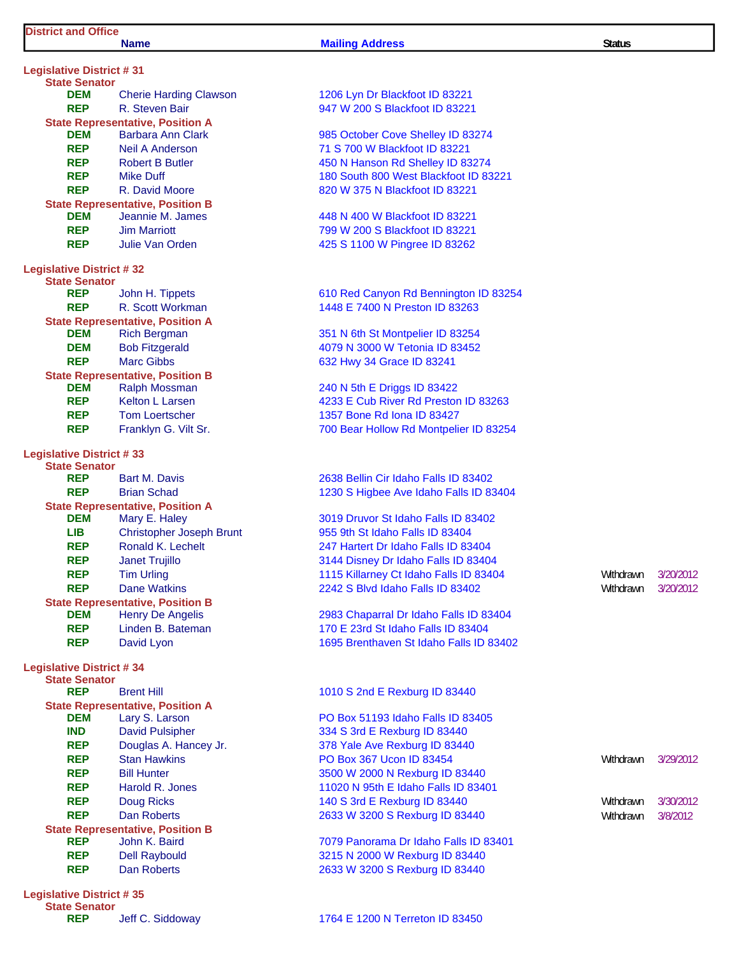### **Name** Status **Mailing Address Mailing Address Status** Status

| <b>Legislative District #31</b> |                                                           |
|---------------------------------|-----------------------------------------------------------|
| <b>State Senator</b>            |                                                           |
| DEM                             | <b>Cherie Harding Clawson</b>                             |
| <b>REP</b>                      | R. Steven Bair<br><b>State Representative, Position A</b> |
| <b>DEM</b>                      | <b>Barbara Ann Clark</b>                                  |
| <b>REP</b>                      | <b>Neil A Anderson</b>                                    |
| <b>REP</b>                      | <b>Robert B Butler</b>                                    |
| REP                             | <b>Mike Duff</b>                                          |
| REP                             | R. David Moore                                            |
|                                 | <b>State Representative, Position B</b>                   |
| <b>DEM</b>                      | Jeannie M. James                                          |
| <b>REP</b>                      | <b>Jim Marriott</b>                                       |
| <b>REP</b>                      | Julie Van Orden                                           |
| <b>Legislative District #32</b> |                                                           |
| <b>State Senator</b>            |                                                           |
| <b>REP</b>                      | John H. Tippets                                           |
| <b>REP</b>                      | R. Scott Workman                                          |
|                                 | <b>State Representative, Position A</b>                   |
| DEM                             | <b>Rich Bergman</b>                                       |
| DEM                             | <b>Bob Fitzgerald</b>                                     |
| REP                             | Marc Gibbs                                                |
|                                 | <b>State Representative, Position B</b>                   |
| DEM                             | <b>Ralph Mossman</b>                                      |
| <b>REP</b>                      | <b>Kelton L Larsen</b>                                    |
| <b>REP</b>                      | <b>Tom Loertscher</b>                                     |
| <b>REP</b>                      | Franklyn G. Vilt Sr.                                      |
| <b>Legislative District #33</b> |                                                           |
| <b>State Senator</b>            |                                                           |
| REP                             | <b>Bart M. Davis</b>                                      |
| <b>REP</b>                      | <b>Brian Schad</b>                                        |
|                                 | <b>State Representative, Position A</b>                   |
| <b>DEM</b><br>LIB               | Mary E. Haley                                             |
| <b>REP</b>                      | <b>Christopher Joseph Brunt</b><br>Ronald K. Lechelt      |
| <b>REP</b>                      | <b>Janet Trujillo</b>                                     |
| REP                             | <b>Tim Urling</b>                                         |
| <b>REP</b>                      | <b>Dane Watkins</b>                                       |
|                                 | <b>State Representative, Position B</b>                   |
| <b>DEM</b>                      | <b>Henry De Angelis</b>                                   |
| <b>REP</b>                      | Linden B. Bateman                                         |
| <b>REP</b>                      | David Lyon                                                |
| <b>Legislative District #34</b> |                                                           |
| <b>State Senator</b>            |                                                           |
| <b>REP</b>                      | <b>Brent Hill</b>                                         |
|                                 | <b>State Representative, Position A</b>                   |
| <b>DEM</b>                      | Lary S. Larson                                            |
| <b>IND</b>                      | <b>David Pulsipher</b>                                    |
| <b>REP</b>                      | Douglas A. Hancey Jr.                                     |
| <b>REP</b>                      | <b>Stan Hawkins</b>                                       |
| <b>REP</b>                      | <b>Bill Hunter</b>                                        |
| <b>REP</b>                      | Harold R. Jones                                           |
| <b>REP</b>                      | <b>Doug Ricks</b>                                         |
| <b>REP</b>                      | <b>Dan Roberts</b>                                        |
|                                 | <b>State Representative, Position B</b>                   |
| <b>REP</b>                      | John K. Baird                                             |
| <b>REP</b><br><b>REP</b>        | <b>Dell Raybould</b><br><b>Dan Roberts</b>                |
|                                 |                                                           |
| <b>Legislative District #35</b> |                                                           |

**State Senator**

## 1206 Lyn Dr Blackfoot ID 83221 **947 W 200 S Blackfoot ID 83221**

985 October Cove Shelley ID 83274 71 S 700 W Blackfoot ID 83221 **450 N Hanson Rd Shelley ID 83274** 180 South 800 West Blackfoot ID 83221 820 W 375 N Blackfoot ID 83221

448 N 400 W Blackfoot ID 83221 **REP** Jim Marriott 799 W 200 S Blackfoot ID 83221 **425 S 1100 W Pingree ID 83262** 

**610 Red Canyon Rd Bennington ID 83254** 1448 E 7400 N Preston ID 83263

351 N 6th St Montpelier ID 83254 **DEM** Bob Fitzgerald 4079 N 3000 W Tetonia ID 83452 **632 Hwy 34 Grace ID 83241** 

240 N 5th E Driggs ID 83422 **4233 E Cub River Rd Preston ID 83263** 1357 Bone Rd Iona ID 83427 **700 Bear Hollow Rd Montpelier ID 83254** 

2638 Bellin Cir Idaho Falls ID 83402 1230 S Higbee Ave Idaho Falls ID 83404

3019 Druvor St Idaho Falls ID 83402 955 9th St Idaho Falls ID 83404 247 Hartert Dr Idaho Falls ID 83404 3144 Disney Dr Idaho Falls ID 83404 **REPART TIM URLING 1115 Killarney Ct Idaho Falls ID 83404** Withdrawn 3/20/2012 **2242 S Blvd Idaho Falls ID 83402** Withdrawn 3/20/2012

2983 Chaparral Dr Idaho Falls ID 83404 170 E 23rd St Idaho Falls ID 83404 1695 Brenthaven St Idaho Falls ID 83402

### 1010 S 2nd E Rexburg ID 83440

PO Box 51193 Idaho Falls ID 83405 **334 S 3rd E Rexburg ID 83440** 378 Yale Ave Rexburg ID 83440 **PO Box 367 Ucon ID 83454** Withdrawn 3/29/2012 **3500 W 2000 N Rexburg ID 83440** 11020 N 95th E Idaho Falls ID 83401 **Report 3/30/2012** S 3rd E Rexburg ID 83440 **2633 W 3200 S Rexburg ID 83440 Withdrawn 3/8/2012** 

**REP** John K. Baird 7079 Panorama Dr Idaho Falls ID 83401 3215 N 2000 W Rexburg ID 83440 2633 W 3200 S Rexburg ID 83440